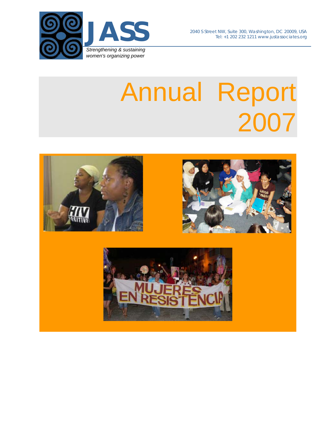



# Annual Report 2007

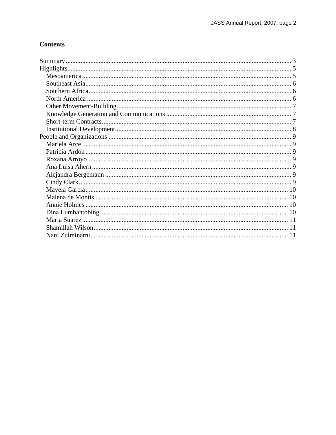# **Contents**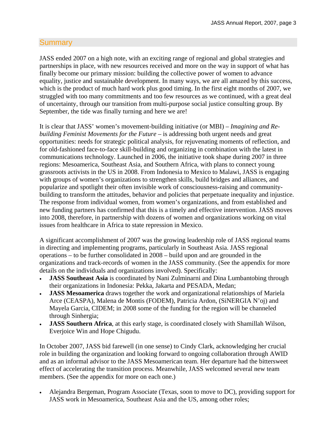# <span id="page-2-0"></span>**Summary**

JASS ended 2007 on a high note, with an exciting range of regional and global strategies and partnerships in place, with new resources received and more on the way in support of what has finally become our primary mission: building the collective power of women to advance equality, justice and sustainable development. In many ways, we are all amazed by this success, which is the product of much hard work plus good timing. In the first eight months of 2007, we struggled with too many commitments and too few resources as we continued, with a great deal of uncertainty, through our transition from multi-purpose social justice consulting group. By September, the tide was finally turning and here we are!

It is clear that JASS' women's movement-building initiative (or MBI) – *Imagining and Rebuilding Feminist Movements for the Future* – is addressing both urgent needs and great opportunities: needs for strategic political analysis, for rejuvenating moments of reflection, and for old-fashioned face-to-face skill-building and organizing in combination with the latest in communications technology. Launched in 2006, the initiative took shape during 2007 in three regions: Mesoamerica, Southeast Asia, and Southern Africa, with plans to connect young grassroots activists in the US in 2008. From Indonesia to Mexico to Malawi, JASS is engaging with groups of women's organizations to strengthen skills, build bridges and alliances, and popularize and spotlight their often invisible work of consciousness-raising and communitybuilding to transform the attitudes, behavior and policies that perpetuate inequality and injustice. The response from individual women, from women's organizations, and from established and new funding partners has confirmed that this is a timely and effective intervention. JASS moves into 2008, therefore, in partnership with dozens of women and organizations working on vital issues from healthcare in Africa to state repression in Mexico.

A significant accomplishment of 2007 was the growing leadership role of JASS regional teams in directing and implementing programs, particularly in Southeast Asia. JASS regional operations – to be further consolidated in 2008 – build upon and are grounded in the organizations and track-records of women in the JASS community. (See the appendix for more details on the individuals and organizations involved). Specifically:

- **JASS Southeast Asia** is coordinated by Nani Zulminarni and Dina Lumbantobing through their organizations in Indonesia: Pekka, Jakarta and PESADA, Medan;
- **JASS Mesoamerica** draws together the work and organizational relationships of Mariela Arce (CEASPA), Malena de Montis (FODEM), Patricia Ardon, (SiNERGIA N'oj) and Mayela Garcia, CIDEM; in 2008 some of the funding for the region will be channeled through Sinhergia;
- **JASS Southern Africa**, at this early stage, is coordinated closely with Shamillah Wilson, Everjoice Win and Hope Chigudu.

In October 2007, JASS bid farewell (in one sense) to Cindy Clark, acknowledging her crucial role in building the organization and looking forward to ongoing collaboration through AWID and as an informal advisor to the JASS Mesoamerican team. Her departure had the bittersweet effect of accelerating the transition process. Meanwhile, JASS welcomed several new team members. (See the appendix for more on each one.)

 Alejandra Bergeman, Program Associate (Texas, soon to move to DC), providing support for JASS work in Mesoamerica, Southeast Asia and the US, among other roles;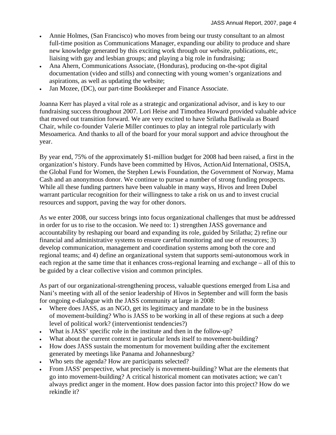- Annie Holmes, (San Francisco) who moves from being our trusty consultant to an almost full-time position as Communications Manager, expanding our ability to produce and share new knowledge generated by this exciting work through our website, publications, etc, liaising with gay and lesbian groups; and playing a big role in fundraising;
- Ana Ahern, Communications Associate, (Honduras), producing on-the-spot digital documentation (video and stills) and connecting with young women's organizations and aspirations, as well as updating the website;
- Jan Mozee, (DC), our part-time Bookkeeper and Finance Associate.

Joanna Kerr has played a vital role as a strategic and organizational advisor, and is key to our fundraising success throughout 2007. Lori Heise and Timothea Howard provided valuable advice that moved out transition forward. We are very excited to have Srilatha Batliwala as Board Chair, while co-founder Valerie Miller continues to play an integral role particularly with Mesoamerica. And thanks to all of the board for your moral support and advice throughout the year.

By year end, 75% of the approximately \$1-million budget for 2008 had been raised, a first in the organization's history. Funds have been committed by Hivos, ActionAid International, OSISA, the Global Fund for Women, the Stephen Lewis Foundation, the Government of Norway, Mama Cash and an anonymous donor. We continue to pursue a number of strong funding prospects. While all these funding partners have been valuable in many ways, Hivos and Ireen Dubel warrant particular recognition for their willingness to take a risk on us and to invest crucial resources and support, paving the way for other donors.

As we enter 2008, our success brings into focus organizational challenges that must be addressed in order for us to rise to the occasion. We need to: 1) strengthen JASS governance and accountability by reshaping our board and expanding its role, guided by Srilatha; 2) refine our financial and administrative systems to ensure careful monitoring and use of resources; 3) develop communication, management and coordination systems among both the core and regional teams; and 4) define an organizational system that supports semi-autonomous work in each region at the same time that it enhances cross-regional learning and exchange – all of this to be guided by a clear collective vision and common principles.

As part of our organizational-strengthening process, valuable questions emerged from Lisa and Nani's meeting with all of the senior leadership of Hivos in September and will form the basis for ongoing e-dialogue with the JASS community at large in 2008:

- Where does JASS, as an NGO, get its legitimacy and mandate to be in the business of movement-building? Who is JASS to be working in all of these regions at such a deep level of political work? (interventionist tendencies?)
- What is JASS' specific role in the institute and then in the follow-up?
- What about the current context in particular lends itself to movement-building?
- How does JASS sustain the momentum for movement building after the excitement generated by meetings like Panama and Johannesburg?
- Who sets the agenda? How are participants selected?
- From JASS' perspective, what precisely is movement-building? What are the elements that go into movement-building? A critical historical moment can motivates action; we can't always predict anger in the moment. How does passion factor into this project? How do we rekindle it?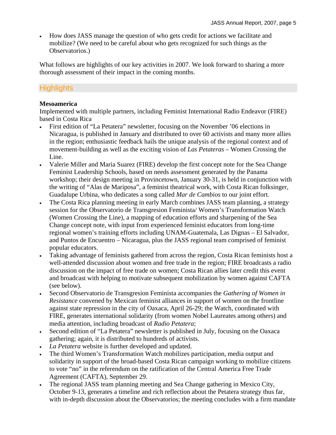How does JASS manage the question of who gets credit for actions we facilitate and mobilize? (We need to be careful about who gets recognized for such things as the Observatorios.)

What follows are highlights of our key activities in 2007. We look forward to sharing a more thorough assessment of their impact in the coming months.

# <span id="page-4-0"></span>**Highlights**

## <span id="page-4-1"></span>**Mesoamerica**

Implemented with multiple partners, including Feminist International Radio Endeavor (FIRE) based in Costa Rica

- First edition of "La Petatera" newsletter, focusing on the November '06 elections in Nicaragua, is published in January and distributed to over 60 activists and many more allies in the region; enthusiastic feedback hails the unique analysis of the regional context and of movement-building as well as the exciting vision of *Las Petateras* – Women Crossing the Line.
- Valerie Miller and Maria Suarez (FIRE) develop the first concept note for the Sea Change Feminist Leadership Schools, based on needs assessment generated by the Panama workshop; their design meeting in Provincetown, January 30-31, is held in conjunction with the writing of "Alas de Mariposa", a feminist theatrical work, with Costa Rican folksinger, Guadalupe Urbina, who dedicates a song called *Mar de Cambios* to our joint effort*.*
- The Costa Rica planning meeting in early March combines JASS team planning, a strategy session for the Observatorio de Transgresion Feminista/ Women's Transformation Watch (Women Crossing the Line), a mapping of education efforts and sharpening of the Sea Change concept note, with input from experienced feminist educators from long-time regional women's training efforts including UNAM-Guatemala, Las Dignas – El Salvador, and Puntos de Encuentro – Nicaragua, plus the JASS regional team comprised of feminist popular educators.
- Taking advantage of feminists gathered from across the region, Costa Rican feminists host a well-attended discussion about women and free trade in the region; FIRE broadcasts a radio discussion on the impact of free trade on women; Costa Rican allies later credit this event and broadcast with helping to motivate subsequent mobilization by women against CAFTA (see below).
- Second Observatorio de Transgresion Feminista accompanies the *Gathering of Women in Resistance* convened by Mexican feminist alliances in support of women on the frontline against state repression in the city of Oaxaca, April 26-29; the Watch, coordinated with FIRE, generates international solidarity (from women Nobel Laureates among others) and media attention, including broadcast of *Radio Petatera*;
- Second edition of "La Petatera" newsletter is published in July, focusing on the Oaxaca gathering; again, it is distributed to hundreds of activists.
- *La Petatera* website is further developed and updated.
- The third Women's Transformation Watch mobilizes participation, media output and solidarity in support of the broad-based Costa Rican campaign working to mobilize citizens to vote "no" in the referendum on the ratification of the Central America Free Trade Agreement (CAFTA), September 29.
- The regional JASS team planning meeting and Sea Change gathering in Mexico City, October 9-13, generates a timeline and rich reflection about the Petatera strategy thus far, with in-depth discussion about the Observatorios; the meeting concludes with a firm mandate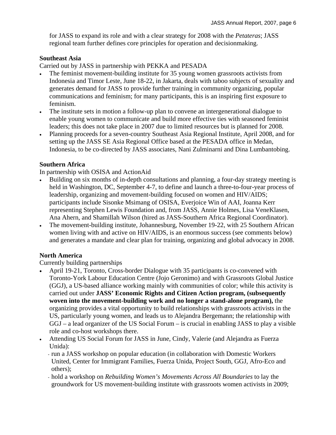for JASS to expand its role and with a clear strategy for 2008 with the *Petateras*; JASS regional team further defines core principles for operation and decisionmaking.

## <span id="page-5-0"></span>**Southeast Asia**

Carried out by JASS in partnership with PEKKA and PESADA

- The feminist movement-building institute for 35 young women grassroots activists from Indonesia and Timor Leste, June 18-22, in Jakarta, deals with taboo subjects of sexuality and generates demand for JASS to provide further training in community organizing, popular communications and feminism; for many participants, this is an inspiring first exposure to feminism.
- The institute sets in motion a follow-up plan to convene an intergenerational dialogue to enable young women to communicate and build more effective ties with seasoned feminist leaders; this does not take place in 2007 due to limited resources but is planned for 2008.
- Planning proceeds for a seven-country Southeast Asia Regional Institute, April 2008, and for setting up the JASS SE Asia Regional Office based at the PESADA office in Medan, Indonesia, to be co-directed by JASS associates, Nani Zulminarni and Dina Lumbantobing.

## <span id="page-5-1"></span>**Southern Africa**

In partnership with OSISA and ActionAid

- Building on six months of in-depth consultations and planning, a four-day strategy meeting is held in Washington, DC, September 4-7, to define and launch a three-to-four-year process of leadership, organizing and movement-building focused on women and HIV/AIDS; participants include Sisonke Msimang of OSISA, Everjoice Win of AAI, Joanna Kerr representing Stephen Lewis Foundation and, from JASS, Annie Holmes, Lisa VeneKlasen, Ana Ahern, and Shamillah Wilson (hired as JASS-Southern Africa Regional Coordinator).
- The movement-building institute, Johannesburg, November 19-22, with 25 Southern African women living with and active on HIV/AIDS, is an enormous success (see comments below) and generates a mandate and clear plan for training, organizing and global advocacy in 2008.

## <span id="page-5-2"></span>**North America**

Currently building partnerships

- April 19-21, Toronto, Cross-border Dialogue with 35 participants is co-convened with Toronto-York Labour Education Centre (Jojo Geronimo) and with Grassroots Global Justice (GGJ), a US-based alliance working mainly with communities of color; while this activity is carried out under **JASS' Economic Rights and Citizen Action program, (subsequently woven into the movement-building work and no longer a stand-alone program),** the organizing provides a vital opportunity to build relationships with grassroots activists in the US, particularly young women, and leads us to Alejandra Bergemann; the relationship with GGJ – a lead organizer of the US Social Forum – is crucial in enabling JASS to play a visible role and co-host workshops there.
- Attending US Social Forum for JASS in June, Cindy, Valerie (and Alejandra as Fuerza Unida):
	- run a JASS workshop on popular education (in collaboration with Domestic Workers United, Center for Immigrant Families, Fuerza Unida, Project South, GGJ, Afro-Eco and others);
	- hold a workshop on *Rebuilding Women's Movements Across All Boundaries* to lay the groundwork for US movement-building institute with grassroots women activists in 2009;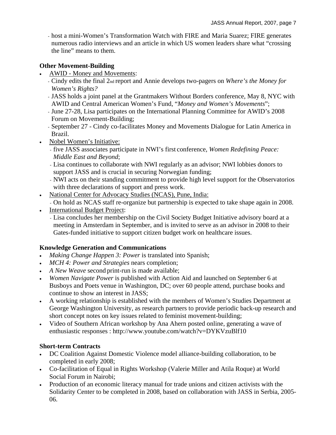- host a mini-Women's Transformation Watch with FIRE and Maria Suarez; FIRE generates numerous radio interviews and an article in which US women leaders share what "crossing the line" means to them.

# <span id="page-6-0"></span>**Other Movement-Building**

- AWID Money and Movements:
	- Cindy edits the final 2nd report and Annie develops two-pagers on *Where's the Money for Women's Rights?*
	- JASS holds a joint panel at the Grantmakers Without Borders conference, May 8, NYC with AWID and Central American Women's Fund, "*Money and Women's Movements*";
	- June 27-28, Lisa participates on the International Planning Committee for AWID's 2008 Forum on Movement-Building;
	- September 27 Cindy co-facilitates Money and Movements Dialogue for Latin America in Brazil.
- Nobel Women's Initiative:
	- five JASS associates participate in NWI's first conference, *Women Redefining Peace: Middle East and Beyond*;
	- Lisa continues to collaborate with NWI regularly as an advisor; NWI lobbies donors to support JASS and is crucial in securing Norwegian funding;
	- NWI acts on their standing commitment to provide high level support for the Observatorios with three declarations of support and press work.
- National Center for Advocacy Studies (NCAS), Pune, India:
	- On hold as NCAS staff re-organize but partnership is expected to take shape again in 2008.
- International Budget Project:
	- Lisa concludes her membership on the Civil Society Budget Initiative advisory board at a meeting in Amsterdam in September, and is invited to serve as an advisor in 2008 to their Gates-funded initiative to support citizen budget work on healthcare issues.

# <span id="page-6-1"></span>**Knowledge Generation and Communications**

- *Making Change Happen 3: Power* is translated into Spanish;
- *MCH 4: Power and Strategies* nears completion;
- *A New Weave* second print-run is made available;
- *Women Navigate Power* is published with Action Aid and launched on September 6 at Busboys and Poets venue in Washington, DC; over 60 people attend, purchase books and continue to show an interest in JASS;
- A working relationship is established with the members of Women's Studies Department at George Washington University, as research partners to provide periodic back-up research and short concept notes on key issues related to feminist movement-building;
- Video of Southern African workshop by Ana Ahern posted online, generating a wave of enthusiastic responses : http://www.youtube.com/watch?v=DYKVzuBlf10

# <span id="page-6-2"></span>**Short-term Contracts**

- DC Coalition Against Domestic Violence model alliance-building collaboration, to be completed in early 2008;
- Co-facilitation of Equal in Rights Workshop (Valerie Miller and Atila Roque) at World Social Forum in Nairobi;
- Production of an economic literacy manual for trade unions and citizen activists with the Solidarity Center to be completed in 2008, based on collaboration with JASS in Serbia, 2005- 06.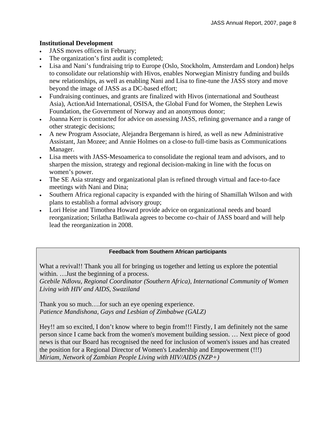## <span id="page-7-0"></span>**Institutional Development**

- JASS moves offices in February;
- The organization's first audit is completed;
- Lisa and Nani's fundraising trip to Europe (Oslo, Stockholm, Amsterdam and London) helps to consolidate our relationship with Hivos, enables Norwegian Ministry funding and builds new relationships, as well as enabling Nani and Lisa to fine-tune the JASS story and move beyond the image of JASS as a DC-based effort;
- Fundraising continues, and grants are finalized with Hivos (international and Southeast Asia), ActionAid International, OSISA, the Global Fund for Women, the Stephen Lewis Foundation, the Government of Norway and an anonymous donor;
- Joanna Kerr is contracted for advice on assessing JASS, refining governance and a range of other strategic decisions;
- A new Program Associate, Alejandra Bergemann is hired, as well as new Administrative Assistant, Jan Mozee; and Annie Holmes on a close-to full-time basis as Communications Manager.
- Lisa meets with JASS-Mesoamerica to consolidate the regional team and advisors, and to sharpen the mission, strategy and regional decision-making in line with the focus on women's power.
- The SE Asia strategy and organizational plan is refined through virtual and face-to-face meetings with Nani and Dina;
- Southern Africa regional capacity is expanded with the hiring of Shamillah Wilson and with plans to establish a formal advisory group;
- Lori Heise and Timothea Howard provide advice on organizational needs and board reorganization; Srilatha Batliwala agrees to become co-chair of JASS board and will help lead the reorganization in 2008.

#### **Feedback from Southern African participants**

What a revival!! Thank you all for bringing us together and letting us explore the potential within. …Just the beginning of a process.

*Gcebile Ndlovu, Regional Coordinator (Southern Africa), International Community of Women Living with HIV and AIDS, Swaziland* 

Thank you so much….for such an eye opening experience. *Patience Mandishona, Gays and Lesbian of Zimbabwe (GALZ)* 

Hey!! am so excited, I don't know where to begin from!!! Firstly, I am definitely not the same person since I came back from the women's movement building session. … Next piece of good news is that our Board has recognised the need for inclusion of women's issues and has created the position for a Regional Director of Women's Leadership and Empowerment (!!!) *Miriam, Network of Zambian People Living with HIV/AIDS (NZP+)*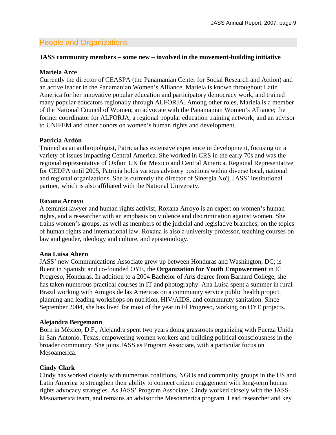# <span id="page-8-0"></span>People and Organizations

#### **JASS community members – some new – involved in the movement-building initiative**

#### <span id="page-8-1"></span>**Mariela Arce**

Currently the director of CEASPA (the Panamanian Center for Social Research and Action) and an active leader in the Panamanian Women's Alliance, Mariela is known throughout Latin America for her innovative popular education and participatory democracy work, and trained many popular educators regionally through ALFORJA. Among other roles, Mariela is a member of the National Council of Women; an advocate with the Panamanian Women's Alliance; the former coordinator for ALFORJA, a regional popular education training network; and an advisor to UNIFEM and other donors on women's human rights and development.

#### <span id="page-8-2"></span>**Patricia Ardón**

Trained as an anthropologist, Patricia has extensive experience in development, focusing on a variety of issues impacting Central America. She worked in CRS in the early 70s and was the regional representative of Oxfam UK for Mexico and Central America. Regional Representative for CEDPA until 2005, Patricia holds various advisory positions within diverse local, national and regional organizations. She is currently the director of Sinergia No'j, JASS' institutional partner, which is also affiliated with the National University.

#### <span id="page-8-3"></span>**Roxana Arroyo**

A feminist lawyer and human rights activist, Roxana Arroyo is an expert on women's human rights, and a researcher with an emphasis on violence and discrimination against women. She trains women's groups, as well as members of the judicial and legislative branches, on the topics of human rights and international law. Roxana is also a university professor, teaching courses on law and gender, ideology and culture, and epistemology.

#### <span id="page-8-4"></span>**Ana Luisa Ahern**

JASS' new Communications Associate grew up between Honduras and Washington, DC; is fluent in Spanish; and co-founded OYE, the **Organization for Youth Empowerment** in El Progreso, Honduras. In addition to a 2004 Bachelor of Arts degree from Barnard College, she has taken numerous practical courses in IT and photography. Ana Luisa spent a summer in rural Brazil working with Amigos de las Americas on a community service public health project, planning and leading workshops on nutrition, HIV/AIDS, and community sanitation. Since September 2004, she has lived for most of the year in El Progreso, working on OYE projects.

#### <span id="page-8-5"></span>**Alejandra Bergemann**

Born in México, D.F., Alejandra spent two years doing grassroots organizing with Fuerza Unida in San Antonio, Texas, empowering women workers and building political consciousness in the broader community. She joins JASS as Program Associate, with a particular focus on Mesoamerica.

#### <span id="page-8-6"></span>**Cindy Clark**

Cindy has worked closely with numerous coalitions, NGOs and community groups in the US and Latin America to strengthen their ability to connect citizen engagement with long-term human rights advocacy strategies. As JASS' Program Associate, Cindy worked closely with the JASS-Mesoamerica team, and remains an advisor the Mesoamerica program. Lead researcher and key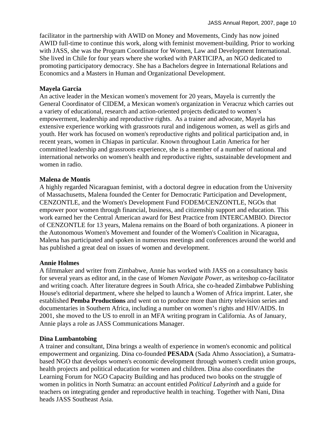facilitator in the partnership with AWID on Money and Movements, Cindy has now joined AWID full-time to continue this work, along with feminist movement-building. Prior to working with JASS, she was the Program Coordinator for Women, Law and Development International. She lived in Chile for four years where she worked with PARTICIPA, an NGO dedicated to promoting participatory democracy. She has a Bachelors degree in International Relations and Economics and a Masters in Human and Organizational Development.

#### <span id="page-9-0"></span>**Mayela Garcia**

An active leader in the Mexican women's movement for 20 years, Mayela is currently the General Coordinator of CIDEM, a Mexican women's organization in Veracruz which carries out a variety of educational, research and action-oriented projects dedicated to women's empowerment, leadership and reproductive rights. As a trainer and advocate, Mayela has extensive experience working with grassroots rural and indigenous women, as well as girls and youth. Her work has focused on women's reproductive rights and political participation and, in recent years, women in Chiapas in particular. Known throughout Latin America for her committed leadership and grassroots experience, she is a member of a number of national and international networks on women's health and reproductive rights, sustainable development and women in radio.

#### <span id="page-9-1"></span>**Malena de Montis**

A highly regarded Nicaraguan feminist, with a doctoral degree in education from the University of Massachusetts, Malena founded the Center for Democratic Participation and Development, CENZONTLE, and the Women's Development Fund FODEM/CENZONTLE, NGOs that empower poor women through financial, business, and citizenship support and education. This work earned her the Central American award for Best Practice from INTERCAMBIO. Director of CENZONTLE for 13 years, Malena remains on the Board of both organizations. A pioneer in the Autonomous Women's Movement and founder of the Women's Coalition in Nicaragua, Malena has participated and spoken in numerous meetings and conferences around the world and has published a great deal on issues of women and development.

#### <span id="page-9-2"></span>**Annie Holmes**

A filmmaker and writer from Zimbabwe, Annie has worked with JASS on a consultancy basis for several years as editor and, in the case of *Women Navigate Power*, as writeshop co-facilitator and writing coach. After literature degrees in South Africa, she co-headed Zimbabwe Publishing House's editorial department, where she helped to launch a Women of Africa imprint. Later, she established **Pemba Productions** and went on to produce more than thirty television series and documentaries in Southern Africa, including a number on women's rights and HIV/AIDS. In 2001, she moved to the US to enroll in an MFA writing program in California. As of January, Annie plays a role as JASS Communications Manager.

#### <span id="page-9-3"></span>**Dina Lumbantobing**

A trainer and consultant, Dina brings a wealth of experience in women's economic and political empowerment and organizing. Dina co-founded **PESADA** (Sada Ahmo Association), a Sumatrabased NGO that develops women's economic development through women's credit union groups, health projects and political education for women and children. Dina also coordinates the Learning Forum for NGO Capacity Building and has produced two books on the struggle of women in politics in North Sumatra: an account entitled *Political Labyrinth* and a guide for teachers on integrating gender and reproductive health in teaching. Together with Nani, Dina heads JASS Southeast Asia.